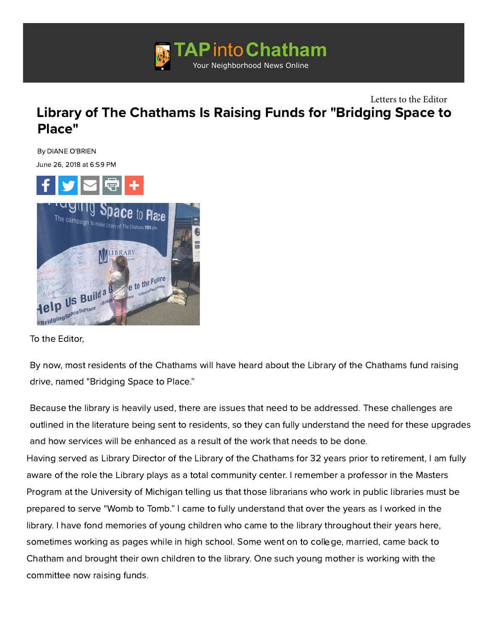

## [Library of The Chathams Is Raising Funds for](http://googleads.g.doubleclick.net/pcs/click?xai=AKAOjsv6H4k4nWO_FcDJAMu-i50hE84Ey8NqtW-AbgGkOqLBEnkqBgkLAg69Fp7brEiYBwNkPhOaap0xAUX2eNNN21rqMOUSNjqBvsdTlKJd-AFJq-WwvatlIcXGb8PZ3ApTsbnGQwz0uStwzUZE1pnT2MfLQBnOIwXZx6iDrflkrgvZP6lbETf7X5NgWJ0XEjo58qD7LWEMDk8AnQpTizdI1BYn5bIWJq2usk0Ydsl7B4eZktn15YBYXR0e-H8&sai=AMfl-YSlWryj-PnrVhKLQhHzzKSodpxuzsnlu2qtOd-9SSCSj_adDyrQAEVRgU3bbbb46r2KZ51gZQr0Sn6ASQ5rm-oBDjicJ4RYB418xyUKqJrwz1plRq1YwOTFkmhf&sig=Cg0ArKJSzBNqhILmJQIH&adurl=http://www.edisonHVAC.com&nm=1) "Bridging Space to Place" Letters to the Editor

By DIANE O'BRIEN

June 26, 2018 at 6:59 PM



To the Editor,

By now, most residents of the Chathams will have heard about the Library of the Chathams fund raising drive, named "Bridging Space to Place."

Because the library is heavily used, there are issues that need to be addressed. These challenges are outlined in the literature being sent to residents, so they can fully understand the need for these upgrades and how services will be enhanced as a result of the work that needs to be done. Having served as Library Director of the Library of the Chathams for 32 years prior to retirement, I am fully aware of the role the Library plays as a total community center. I remember a professor in the Masters Program at the University of Michigan telling us that those librarians who work in public libraries must be prepared to serve "Womb to Tomb." I came to fully understand that over the years as I worked in the library. I have fond memories of young children who came to the library throughout their years here, sometimes working as pages while in high school. Some went on to college, married, came back to Chatham and brought their own children to the library. One such young mother is working with the committee now raising funds.